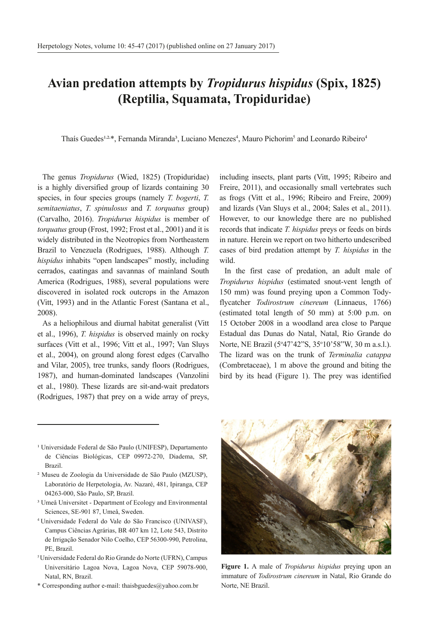## **Avian predation attempts by** *Tropidurus hispidus* **(Spix, 1825) (Reptilia, Squamata, Tropiduridae)**

Thaís Guedes<sup>1,2,\*</sup>, Fernanda Miranda<sup>3</sup>, Luciano Menezes<sup>4</sup>, Mauro Pichorim<sup>5</sup> and Leonardo Ribeiro<sup>4</sup>

The genus *Tropidurus* (Wied, 1825) (Tropiduridae) is a highly diversified group of lizards containing 30 species, in four species groups (namely *T. bogerti*, *T. semitaeniatus*, *T. spinulosus* and *T. torquatus* group) (Carvalho, 2016). *Tropidurus hispidus* is member of *torquatus* group (Frost, 1992; Frost et al., 2001) and it is widely distributed in the Neotropics from Northeastern Brazil to Venezuela (Rodrigues, 1988). Although *T. hispidus* inhabits "open landscapes" mostly, including cerrados, caatingas and savannas of mainland South America (Rodrigues, 1988), several populations were discovered in isolated rock outcrops in the Amazon (Vitt, 1993) and in the Atlantic Forest (Santana et al., 2008).

As a heliophilous and diurnal habitat generalist (Vitt et al., 1996), *T. hispidus* is observed mainly on rocky surfaces (Vitt et al., 1996; Vitt et al., 1997; Van Sluys et al., 2004), on ground along forest edges (Carvalho and Vilar, 2005), tree trunks, sandy floors (Rodrigues, 1987), and human-dominated landscapes (Vanzolini et al., 1980). These lizards are sit-and-wait predators (Rodrigues, 1987) that prey on a wide array of preys,

including insects, plant parts (Vitt, 1995; Ribeiro and Freire, 2011), and occasionally small vertebrates such as frogs (Vitt et al., 1996; Ribeiro and Freire, 2009) and lizards (Van Sluys et al., 2004; Sales et al., 2011). However, to our knowledge there are no published records that indicate *T. hispidus* preys or feeds on birds in nature. Herein we report on two hitherto undescribed cases of bird predation attempt by *T. hispidus* in the wild.

In the first case of predation, an adult male of *Tropidurus hispidus* (estimated snout-vent length of 150 mm) was found preying upon a Common Todyflycatcher *Todirostrum cinereum* (Linnaeus, 1766) (estimated total length of 50 mm) at 5:00 p.m. on 15 October 2008 in a woodland area close to Parque Estadual das Dunas do Natal, Natal, Rio Grande do Norte, NE Brazil (5<sup>o</sup>47'42"S, 35<sup>o</sup>10'58"W, 30 m a.s.l.). The lizard was on the trunk of *Terminalia catappa*  (Combretaceae), 1 m above the ground and biting the bird by its head (Figure 1). The prey was identified

- <sup>1</sup> Universidade Federal de São Paulo (UNIFESP), Departamento de Ciências Biológicas, CEP 09972-270, Diadema, SP, Brazil.
- ² Museu de Zoologia da Universidade de São Paulo (MZUSP), Laboratório de Herpetologia, Av. Nazaré, 481, Ipiranga, CEP 04263-000, São Paulo, SP, Brazil.
- ³ Umeå Universitet Department of Ecology and Environmental Sciences, SE-901 87, Umeå, Sweden.
- 4 Universidade Federal do Vale do São Francisco (UNIVASF), Campus Ciências Agrárias, BR 407 km 12, Lote 543, Distrito de Irrigação Senador Nilo Coelho, CEP 56300-990, Petrolina, PE, Brazil.
- 5 Universidade Federal do Rio Grande do Norte (UFRN), Campus Universitário Lagoa Nova, Lagoa Nova, CEP 59078-900, Natal, RN, Brazil.
- \* Corresponding author e-mail: thaisbguedes@yahoo.com.br



**Figure 1.** A male of *Tropidurus hispidus* preying upon an immature of *Todirostrum cinereum* in Natal, Rio Grande do Norte, NE Brazil.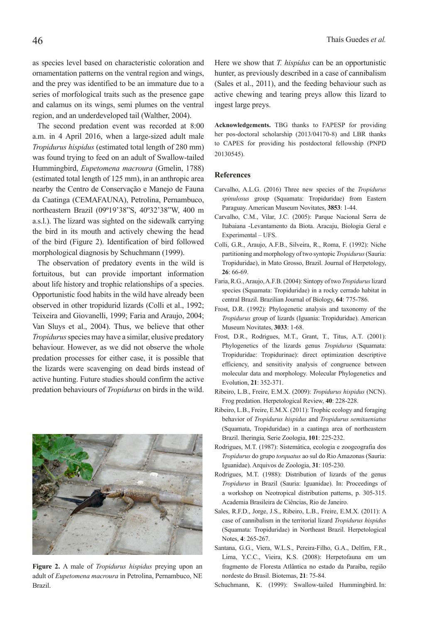as species level based on characteristic coloration and ornamentation patterns on the ventral region and wings, and the prey was identified to be an immature due to a series of morfological traits such as the presence gape and calamus on its wings, semi plumes on the ventral region, and an underdeveloped tail (Walther, 2004).

The second predation event was recorded at 8:00 a.m. in 4 April 2016, when a large-sized adult male *Tropidurus hispidus* (estimated total length of 280 mm) was found trying to feed on an adult of Swallow-tailed Hummingbird, *Eupetomena macroura* (Gmelin, 1788) (estimated total length of 125 mm), in an anthropic area nearby the Centro de Conservação e Manejo de Fauna da Caatinga (CEMAFAUNA), Petrolina, Pernambuco, northeastern Brazil (09º19'38"S, 40º32'38"W, 400 m a.s.l.). The lizard was sighted on the sidewalk carrying the bird in its mouth and actively chewing the head of the bird (Figure 2). Identification of bird followed morphological diagnosis by Schuchmann (1999).

The observation of predatory events in the wild is fortuitous, but can provide important information about life history and trophic relationships of a species. Opportunistic food habits in the wild have already been observed in other tropidurid lizards (Colli et al., 1992; Teixeira and Giovanelli, 1999; Faria and Araujo, 2004; Van Sluys et al., 2004). Thus, we believe that other *Tropidurus* species may have a similar, elusive predatory behaviour. However, as we did not observe the whole predation processes for either case, it is possible that the lizards were scavenging on dead birds instead of active hunting. Future studies should confirm the active predation behaviours of *Tropidurus* on birds in the wild. Here we show that *T. hispidus* can be an opportunistic hunter, as previously described in a case of cannibalism (Sales et al., 2011), and the feeding behaviour such as active chewing and tearing preys allow this lizard to ingest large preys.

**Acknowledgements.** TBG thanks to FAPESP for providing her pos-doctoral scholarship (2013/04170-8) and LBR thanks to CAPES for providing his postdoctoral fellowship (PNPD 20130545).

## **References**

- Carvalho, A.L.G. (2016) Three new species of the *Tropidurus spinulosus* group (Squamata: Tropiduridae) from Eastern Paraguay. American Museum Novitates, **3853**: 1-44.
- Carvalho, C.M., Vilar, J.C. (2005): Parque Nacional Serra de Itabaiana -Levantamento da Biota. Aracaju, Biologia Geral e Experimental – UFS.
- Colli, G.R., Araujo, A.F.B., Silveira, R., Roma, F. (1992): Niche partitioning and morphology of two syntopic *Tropidurus* (Sauria: Tropiduridae), in Mato Grosso, Brazil. Journal of Herpetology, **26**: 66-69.
- Faria, R.G., Araujo, A.F.B. (2004): Sintopy of two *Tropidurus* lizard species (Squamata: Tropiduridae) in a rocky cerrado habitat in central Brazil. Brazilian Journal of Biology, **64**: 775-786.
- Frost, D.R. (1992): Phylogenetic analysis and taxonomy of the *Tropidurus* group of lizards (Iguania: Tropiduridae). American Museum Novitates, **3033**: 1-68.
- Frost, D.R., Rodrigues, M.T., Grant, T., Titus, A.T. (2001): Phylogenetics of the lizards genus *Tropidurus* (Squamata: Tropiduridae: Tropidurinae): direct optimization descriptive efficiency, and sensitivity analysis of congruence between molecular data and morphology. Molecular Phylogenetics and Evolution, **21**: 352-371.
- Ribeiro, L.B., Freire, E.M.X. (2009): *Tropidurus hispidus* (NCN). Frog predation. Herpetological Review, **40**: 228-228.
- Ribeiro, L.B., Freire, E.M.X. (2011): Trophic ecology and foraging behavior of *Tropidurus hispidus* and *Tropidurus semitaeniatus* (Squamata, Tropiduridae) in a caatinga area of northeastern Brazil. Iheringia*,* Serie Zoologia, **101**: 225-232.
- Rodrigues, M.T. (1987): Sistemática, ecologia e zoogeografia dos *Tropidurus* do grupo *torquatus* ao sul do Rio Amazonas (Sauria: Iguanidae). Arquivos de Zoologia, **31**: 105-230.
- Rodrigues, M.T. (1988): Distribution of lizards of the genus *Tropidurus* in Brazil (Sauria: Iguanidae). In: Proceedings of a workshop on Neotropical distribution patterns, p. 305-315. Academia Brasileira de Ciências, Rio de Janeiro.
- Sales, R.F.D., Jorge, J.S., Ribeiro, L.B., Freire, E.M.X. (2011): A case of cannibalism in the territorial lizard *Tropidurus hispidus* (Squamata: Tropiduridae) in Northeast Brazil. Herpetological Notes, **4**: 265-267.
- Santana, G.G., Viera, W.L.S., Pereira-Filho, G.A., Delfim, F.R., Lima, Y.C.C., Vieira, K.S. (2008): Herpetofauna em um fragmento de Floresta Atlântica no estado da Paraíba, região nordeste do Brasil. Biotemas, **21**: 75-84.

Schuchmann, K. (1999): Swallow-tailed Hummingbird. In:



**Figure 2.** A male of *Tropidurus hispidus* preying upon an adult of *Eupetomena macroura* in Petrolina, Pernambuco, NE Brazil.